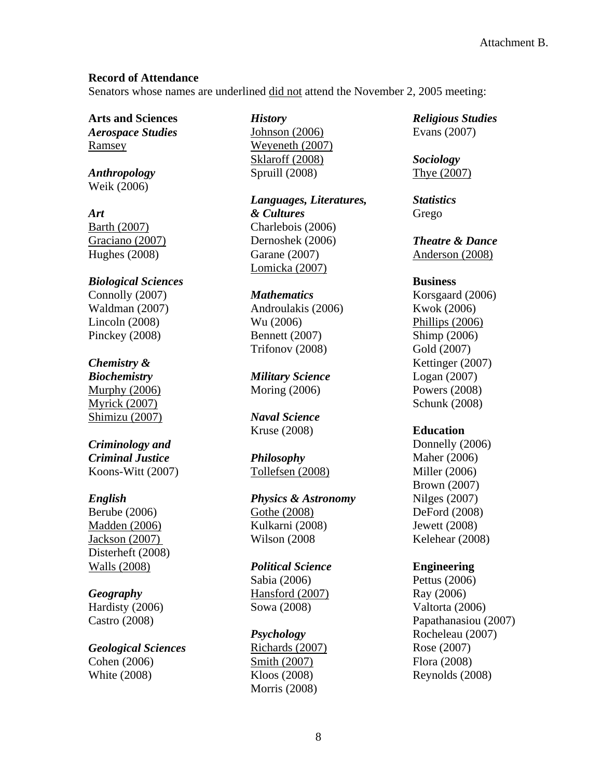### **Record of Attendance**

Senators whose names are underlined did not attend the November 2, 2005 meeting:

**Arts and Sciences**  *Aerospace Studies* Ramsey

*Anthropology* Weik (2006)

*Art*  Barth (2007) Graciano (2007) Hughes (2008)

*Biological Sciences* Connolly (2007) Waldman (2007) Lincoln (2008) Pinckey (2008)

# *Chemistry &*

*Biochemistry*  Murphy (2006) Myrick (2007) Shimizu (2007)

#### *Criminology and Criminal Justice*  Koons-Witt (2007)

### *English*

Berube (2006) Madden (2006) Jackson (2007) Disterheft (2008) Walls (2008)

### *Geography*

Hardisty (2006) Castro (2008)

# *Geological Sciences*

Cohen (2006) White (2008)

*History*  Johnson (2006) Weyeneth (2007) Sklaroff (2008) Spruill (2008)

*Languages, Literatures, & Cultures* Charlebois (2006) Dernoshek (2006) Garane (2007) Lomicka (2007)

#### *Mathematics*

Androulakis (2006) Wu (2006) Bennett (2007) Trifonov (2008)

*Military Science*  Moring (2006)

*Naval Science*  Kruse (2008)

*Philosophy* Tollefsen (2008)

*Physics & Astronomy* Gothe (2008) Kulkarni (2008)

Wilson (2008

*Political Science*  Sabia (2006) Hansford (2007) Sowa (2008)

*Psychology* Richards (2007) Smith (2007) Kloos (2008) Morris (2008)

*Religious Studies*  Evans (2007)

*Sociology*  Thye (2007)

*Statistics* Grego

*Theatre & Dance*  Anderson (2008)

#### **Business**

Korsgaard (2006) Kwok (2006) Phillips (2006) Shimp (2006) Gold (2007) Kettinger (2007) Logan (2007) Powers (2008) Schunk (2008)

### **Education**

Donnelly (2006) Maher (2006) Miller (2006) Brown (2007) Nilges (2007) DeFord (2008) Jewett (2008) Kelehear (2008)

## **Engineering**

Pettus (2006) Ray (2006) Valtorta (2006) Papathanasiou (2007) Rocheleau (2007) Rose (2007) Flora (2008) Reynolds (2008)